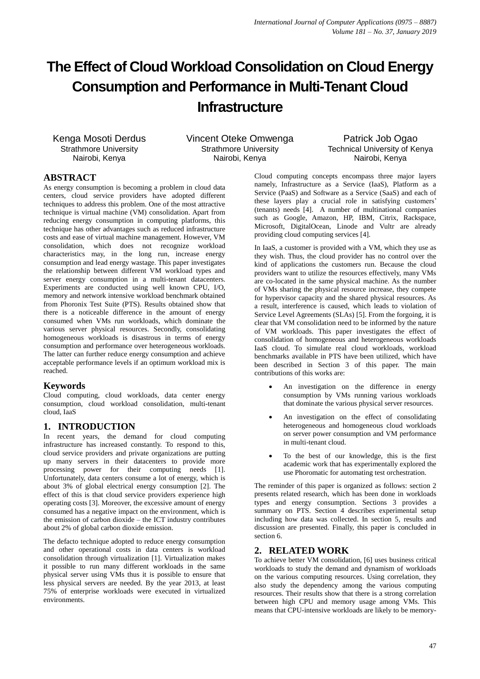# **The Effect of Cloud Workload Consolidation on Cloud Energy Consumption and Performance in Multi-Tenant Cloud Infrastructure**

Kenga Mosoti Derdus Strathmore University Nairobi, Kenya

Vincent Oteke Omwenga Strathmore University Nairobi, Kenya

Patrick Job Ogao Technical University of Kenya Nairobi, Kenya

# **ABSTRACT**

As energy consumption is becoming a problem in cloud data centers, cloud service providers have adopted different techniques to address this problem. One of the most attractive technique is virtual machine (VM) consolidation. Apart from reducing energy consumption in computing platforms, this technique has other advantages such as reduced infrastructure costs and ease of virtual machine management. However, VM consolidation, which does not recognize workload characteristics may, in the long run, increase energy consumption and lead energy wastage. This paper investigates the relationship between different VM workload types and server energy consumption in a multi-tenant datacenters. Experiments are conducted using well known CPU, I/O, memory and network intensive workload benchmark obtained from Phoronix Test Suite (PTS). Results obtained show that there is a noticeable difference in the amount of energy consumed when VMs run workloads, which dominate the various server physical resources. Secondly, consolidating homogeneous workloads is disastrous in terms of energy consumption and performance over heterogeneous workloads. The latter can further reduce energy consumption and achieve acceptable performance levels if an optimum workload mix is reached.

# **Keywords**

Cloud computing, cloud workloads, data center energy consumption, cloud workload consolidation, multi-tenant cloud, IaaS

# **1. INTRODUCTION**

In recent years, the demand for cloud computing infrastructure has increased constantly. To respond to this, cloud service providers and private organizations are putting up many servers in their datacenters to provide more processing power for their computing needs [1]. Unfortunately, data centers consume a lot of energy, which is about 3% of global electrical energy consumption [2]. The effect of this is that cloud service providers experience high operating costs [3]. Moreover, the excessive amount of energy consumed has a negative impact on the environment, which is the emission of carbon dioxide – the ICT industry contributes about 2% of global carbon dioxide emission.

The defacto technique adopted to reduce energy consumption and other operational costs in data centers is workload consolidation through virtualization [1]. Virtualization makes it possible to run many different workloads in the same physical server using VMs thus it is possible to ensure that less physical servers are needed. By the year 2013, at least 75% of enterprise workloads were executed in virtualized environments.

Cloud computing concepts encompass three major layers namely, Infrastructure as a Service (IaaS), Platform as a Service (PaaS) and Software as a Service (SaaS) and each of these layers play a crucial role in satisfying customers' (tenants) needs [4]. A number of multinational companies such as Google, Amazon, HP, IBM, Citrix, Rackspace, Microsoft, DigitalOcean, Linode and Vultr are already providing cloud computing services [4].

In IaaS, a customer is provided with a VM, which they use as they wish. Thus, the cloud provider has no control over the kind of applications the customers run. Because the cloud providers want to utilize the resources effectively, many VMs are co-located in the same physical machine. As the number of VMs sharing the physical resource increase, they compete for hypervisor capacity and the shared physical resources. As a result, interference is caused, which leads to violation of Service Level Agreements (SLAs) [5]. From the forgoing, it is clear that VM consolidation need to be informed by the nature of VM workloads. This paper investigates the effect of consolidation of homogeneous and heterogeneous workloads IaaS cloud. To simulate real cloud workloads, workload benchmarks available in PTS have been utilized, which have been described in Section 3 of this paper. The main contributions of this works are:

- An investigation on the difference in energy consumption by VMs running various workloads that dominate the various physical server resources.
- An investigation on the effect of consolidating heterogeneous and homogeneous cloud workloads on server power consumption and VM performance in multi-tenant cloud.
- To the best of our knowledge, this is the first academic work that has experimentally explored the use Phoromatic for automating test orchestration.

The reminder of this paper is organized as follows: section 2 presents related research, which has been done in workloads types and energy consumption. Sections 3 provides a summary on PTS. Section 4 describes experimental setup including how data was collected. In section 5, results and discussion are presented. Finally, this paper is concluded in section 6.

# **2. RELATED WORK**

To achieve better VM consolidation, [6] uses business critical workloads to study the demand and dynamism of workloads on the various computing resources. Using correlation, they also study the dependency among the various computing resources. Their results show that there is a strong correlation between high CPU and memory usage among VMs. This means that CPU-intensive workloads are likely to be memory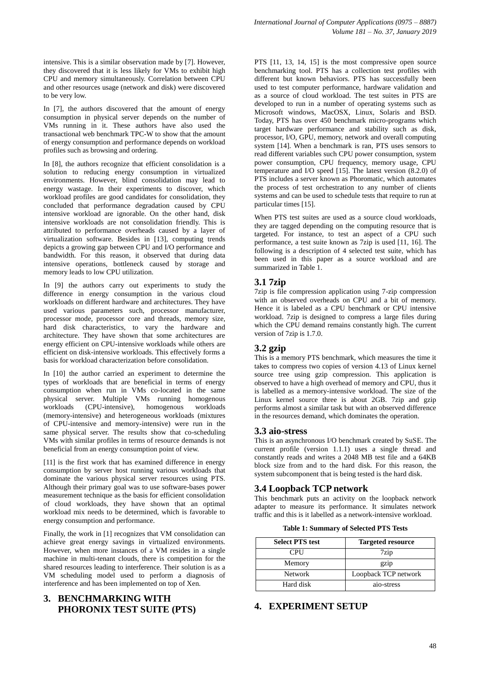intensive. This is a similar observation made by [7]. However, they discovered that it is less likely for VMs to exhibit high CPU and memory simultaneously. Correlation between CPU and other resources usage (network and disk) were discovered to be very low.

In [7], the authors discovered that the amount of energy consumption in physical server depends on the number of VMs running in it. These authors have also used the transactional web benchmark TPC-W to show that the amount of energy consumption and performance depends on workload profiles such as browsing and ordering.

In [8], the authors recognize that efficient consolidation is a solution to reducing energy consumption in virtualized environments. However, blind consolidation may lead to energy wastage. In their experiments to discover, which workload profiles are good candidates for consolidation, they concluded that performance degradation caused by CPU intensive workload are ignorable. On the other hand, disk intensive workloads are not consolidation friendly. This is attributed to performance overheads caused by a layer of virtualization software. Besides in [13], computing trends depicts a growing gap between CPU and I/O performance and bandwidth. For this reason, it observed that during data intensive operations, bottleneck caused by storage and memory leads to low CPU utilization.

In [9] the authors carry out experiments to study the difference in energy consumption in the various cloud workloads on different hardware and architectures. They have used various parameters such, processor manufacturer, processor mode, processor core and threads, memory size, hard disk characteristics, to vary the hardware and architecture. They have shown that some architectures are energy efficient on CPU-intensive workloads while others are efficient on disk-intensive workloads. This effectively forms a basis for workload characterization before consolidation.

In [10] the author carried an experiment to determine the types of workloads that are beneficial in terms of energy consumption when run in VMs co-located in the same physical server. Multiple VMs running homogenous workloads (CPU-intensive), homogenous workloads (memory-intensive) and heterogeneous workloads (mixtures of CPU-intensive and memory-intensive) were run in the same physical server. The results show that co-scheduling VMs with similar profiles in terms of resource demands is not beneficial from an energy consumption point of view.

[11] is the first work that has examined difference in energy consumption by server host running various workloads that dominate the various physical server resources using PTS. Although their primary goal was to use software-bases power measurement technique as the basis for efficient consolidation of cloud workloads, they have shown that an optimal workload mix needs to be determined, which is favorable to energy consumption and performance.

Finally, the work in [1] recognizes that VM consolidation can achieve great energy savings in virtualized environments. However, when more instances of a VM resides in a single machine in multi-tenant clouds, there is competition for the shared resources leading to interference. Their solution is as a VM scheduling model used to perform a diagnosis of interference and has been implemented on top of Xen.

# **3. BENCHMARKING WITH PHORONIX TEST SUITE (PTS)**

PTS [11, 13, 14, 15] is the most compressive open source benchmarking tool. PTS has a collection test profiles with different but known behaviors. PTS has successfully been used to test computer performance, hardware validation and as a source of cloud workload. The test suites in PTS are developed to run in a number of operating systems such as Microsoft windows, MacOSX, Linux, Solaris and BSD. Today, PTS has over 450 benchmark micro-programs which target hardware performance and stability such as disk, processor, I/O, GPU, memory, network and overall computing system [14]. When a benchmark is ran, PTS uses sensors to read different variables such CPU power consumption, system power consumption, CPU frequency, memory usage, CPU temperature and I/O speed [15]. The latest version (8.2.0) of PTS includes a server known as Phoromatic, which automates the process of test orchestration to any number of clients systems and can be used to schedule tests that require to run at particular times [15].

When PTS test suites are used as a source cloud workloads, they are tagged depending on the computing resource that is targeted. For instance, to test an aspect of a CPU such performance, a test suite known as 7zip is used [11, 16]. The following is a description of 4 selected test suite, which has been used in this paper as a source workload and are summarized in Table 1.

## **3.1 7zip**

7zip is file compression application using 7-zip compression with an observed overheads on CPU and a bit of memory. Hence it is labeled as a CPU benchmark or CPU intensive workload. 7zip is designed to compress a large files during which the CPU demand remains constantly high. The current version of 7zip is 1.7.0.

# **3.2 gzip**

This is a memory PTS benchmark, which measures the time it takes to compress two copies of version 4.13 of Linux kernel source tree using gzip compression. This application is observed to have a high overhead of memory and CPU, thus it is labelled as a memory-intensive workload. The size of the Linux kernel source three is about 2GB. 7zip and gzip performs almost a similar task but with an observed difference in the resources demand, which dominates the operation.

## **3.3 aio-stress**

This is an asynchronous I/O benchmark created by SuSE. The current profile (version 1.1.1) uses a single thread and constantly reads and writes a 2048 MB test file and a 64KB block size from and to the hard disk. For this reason, the system subcomponent that is being tested is the hard disk.

## **3.4 Loopback TCP network**

This benchmark puts an activity on the loopback network adapter to measure its performance. It simulates network traffic and this is it labelled as a network-intensive workload.

**Table 1: Summary of Selected PTS Tests**

| <b>Select PTS test</b> | <b>Targeted resource</b> |  |  |  |
|------------------------|--------------------------|--|--|--|
| <b>CPU</b>             | 7zip                     |  |  |  |
| Memory                 | gz1p                     |  |  |  |
| <b>Network</b>         | Loopback TCP network     |  |  |  |
| Hard disk              | aio-stress               |  |  |  |

# **4. EXPERIMENT SETUP**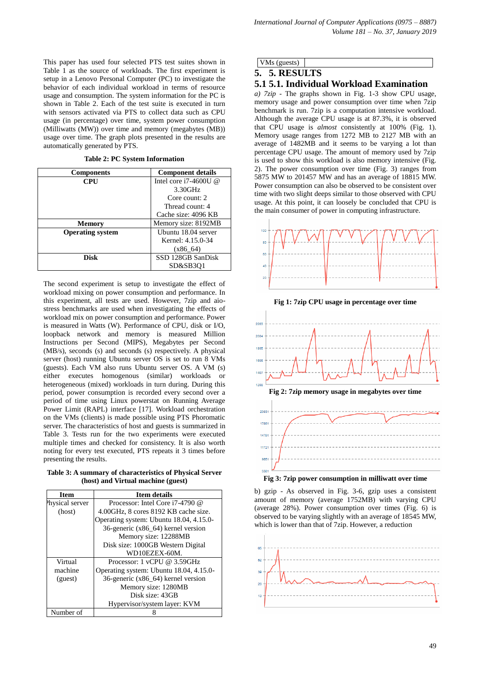This paper has used four selected PTS test suites shown in Table 1 as the source of workloads. The first experiment is setup in a Lenovo Personal Computer (PC) to investigate the behavior of each individual workload in terms of resource usage and consumption. The system information for the PC is shown in Table 2. Each of the test suite is executed in turn with sensors activated via PTS to collect data such as CPU usage (in percentage) over time, system power consumption (Milliwatts (MW)) over time and memory (megabytes (MB)) usage over time. The graph plots presented in the results are automatically generated by PTS.

**Table 2: PC System Information**

| <b>Components</b>       | <b>Component details</b> |  |  |
|-------------------------|--------------------------|--|--|
| CPU                     | Intel core $i7-4600U$ @  |  |  |
|                         | 3.30GHz                  |  |  |
|                         | Core count: 2            |  |  |
|                         | Thread count: 4          |  |  |
|                         | Cache size: 4096 KB      |  |  |
| <b>Memory</b>           | Memory size: 8192MB      |  |  |
| <b>Operating system</b> | Ubuntu 18.04 server      |  |  |
|                         | Kernel: 4.15.0-34        |  |  |
|                         | (x86, 64)                |  |  |
| <b>Disk</b>             | SSD 128GB SanDisk        |  |  |
|                         | SD&SB3Q1                 |  |  |

The second experiment is setup to investigate the effect of workload mixing on power consumption and performance. In this experiment, all tests are used. However, 7zip and aiostress benchmarks are used when investigating the effects of workload mix on power consumption and performance. Power is measured in Watts (W). Performance of CPU, disk or I/O, loopback network and memory is measured Million Instructions per Second (MIPS), Megabytes per Second (MB/s), seconds (s) and seconds (s) respectively. A physical server (host) running Ubuntu server OS is set to run 8 VMs (guests). Each VM also runs Ubuntu server OS. A VM (s) either executes homogenous (similar) workloads or heterogeneous (mixed) workloads in turn during. During this period, power consumption is recorded every second over a period of time using Linux powerstat on Running Average Power Limit (RAPL) interface [17]. Workload orchestration on the VMs (clients) is made possible using PTS Phoromatic server. The characteristics of host and guests is summarized in Table 3. Tests run for the two experiments were executed multiple times and checked for consistency. It is also worth noting for every test executed, PTS repeats it 3 times before presenting the results.

**Table 3: A summary of characteristics of Physical Server (host) and Virtual machine (guest)**

| <b>Item</b>    | <b>Item details</b>                     |  |  |  |  |
|----------------|-----------------------------------------|--|--|--|--|
| hysical server | Processor: Intel Core i7-4790 @         |  |  |  |  |
| (host)         | 4.00GHz, 8 cores 8192 KB cache size.    |  |  |  |  |
|                | Operating system: Ubuntu 18.04, 4.15.0- |  |  |  |  |
|                | 36-generic (x86_64) kernel version      |  |  |  |  |
|                | Memory size: 12288MB                    |  |  |  |  |
|                | Disk size: 1000GB Western Digital       |  |  |  |  |
|                | WD10EZEX-60M.                           |  |  |  |  |
| Virtual        | Processor: 1 vCPU @ 3.59GHz             |  |  |  |  |
| machine        | Operating system: Ubuntu 18.04, 4.15.0- |  |  |  |  |
| (guest)        | 36-generic (x86_64) kernel version      |  |  |  |  |
|                | Memory size: 1280MB                     |  |  |  |  |
|                | Disk size: 43GB                         |  |  |  |  |
|                | Hypervisor/system layer: KVM            |  |  |  |  |
| Number of      |                                         |  |  |  |  |

|--|

#### **5. 5. RESULTS**

#### **5.1 5.1. Individual Workload Examination**

*a) 7zip -* The graphs shown in Fig. 1-3 show CPU usage, memory usage and power consumption over time when 7zip benchmark is run. 7zip is a computation intensive workload. Although the average CPU usage is at 87.3%, it is observed that CPU usage is *almost* consistently at 100% (Fig. 1). Memory usage ranges from 1272 MB to 2127 MB with an average of 1482MB and it seems to be varying a lot than percentage CPU usage. The amount of memory used by 7zip is used to show this workload is also memory intensive (Fig. 2). The power consumption over time (Fig. 3) ranges from 5875 MW to 201457 MW and has an average of 18815 MW. Power consumption can also be observed to be consistent over time with two slight deeps similar to those observed with CPU usage. At this point, it can loosely be concluded that CPU is the main consumer of power in computing infrastructure.





b) gzip - As observed in Fig. 3-6, gzip uses a consistent amount of memory (average 1752MB) with varying CPU (average 28%). Power consumption over times (Fig. 6) is observed to be varying slightly with an average of 18545 MW, which is lower than that of 7zip. However, a reduction

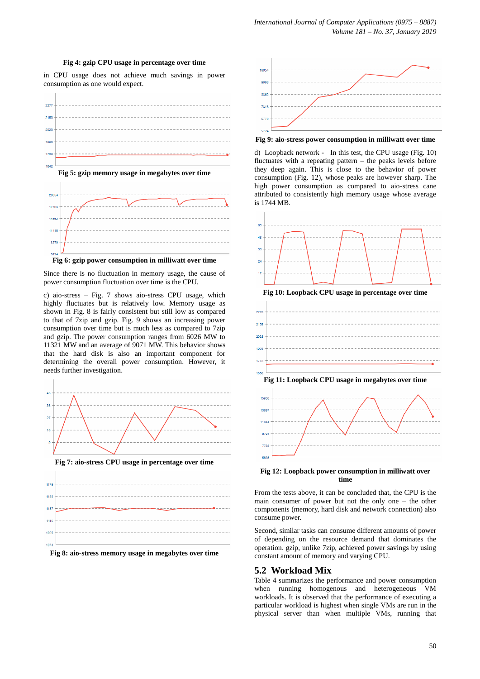#### **Fig 4: gzip CPU usage in percentage over time**

in CPU usage does not achieve much savings in power consumption as one would expect.







**Fig 6: gzip power consumption in milliwatt over time**

Since there is no fluctuation in memory usage, the cause of power consumption fluctuation over time is the CPU.

c) aio-stress – Fig. 7 shows aio-stress CPU usage, which highly fluctuates but is relatively low. Memory usage as shown in Fig. 8 is fairly consistent but still low as compared to that of 7zip and gzip. Fig. 9 shows an increasing power consumption over time but is much less as compared to 7zip and gzip. The power consumption ranges from 6026 MW to 11321 MW and an average of 9071 MW. This behavior shows that the hard disk is also an important component for determining the overall power consumption. However, it needs further investigation.



**Fig 8: aio-stress memory usage in megabytes over time**



**Fig 9: aio-stress power consumption in milliwatt over time**

d) Loopback network - In this test, the CPU usage (Fig. 10) fluctuates with a repeating pattern – the peaks levels before they deep again. This is close to the behavior of power consumption (Fig. 12), whose peaks are however sharp. The high power consumption as compared to aio-stress cane attributed to consistently high memory usage whose average is 1744 MB.



**Fig 12: Loopback power consumption in milliwatt over time**

From the tests above, it can be concluded that, the CPU is the main consumer of power but not the only one – the other components (memory, hard disk and network connection) also consume power.

Second, similar tasks can consume different amounts of power of depending on the resource demand that dominates the operation. gzip, unlike 7zip, achieved power savings by using constant amount of memory and varying CPU.

#### **5.2 Workload Mix**

Table 4 summarizes the performance and power consumption when running homogenous and heterogeneous VM workloads. It is observed that the performance of executing a particular workload is highest when single VMs are run in the physical server than when multiple VMs, running that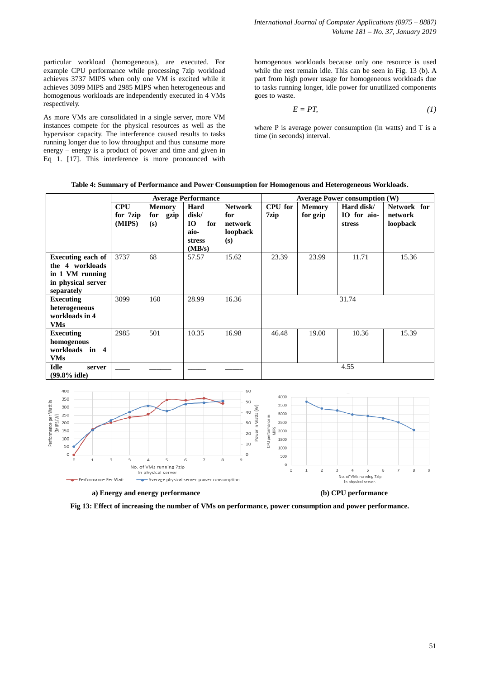*International Journal of Computer Applications (0975 – 8887) Volume 181 – No. 37, January 2019*

particular workload (homogeneous), are executed. For example CPU performance while processing 7zip workload achieves 3737 MIPS when only one VM is excited while it achieves 3099 MIPS and 2985 MIPS when heterogeneous and homogenous workloads are independently executed in 4 VMs respectively.

As more VMs are consolidated in a single server, more VM instances compete for the physical resources as well as the hypervisor capacity. The interference caused results to tasks running longer due to low throughput and thus consume more energy – energy is a product of power and time and given in Eq 1. [17]. This interference is more pronounced with

homogenous workloads because only one resource is used while the rest remain idle. This can be seen in Fig. 13 (b). A part from high power usage for homogeneous workloads due to tasks running longer, idle power for unutilized components goes to waste.

$$
E = PT,\tag{1}
$$

where P is average power consumption (in watts) and T is a time (in seconds) interval.

| Table 4: Summary of Performance and Power Consumption for Homogenous and Heterogeneous Workloads. |  |  |
|---------------------------------------------------------------------------------------------------|--|--|
|                                                                                                   |  |  |
|                                                                                                   |  |  |
|                                                                                                   |  |  |

|                          | <b>Average Performance</b> |               |                  |                | <b>Average Power consumption (W)</b> |               |             |             |
|--------------------------|----------------------------|---------------|------------------|----------------|--------------------------------------|---------------|-------------|-------------|
|                          | <b>CPU</b>                 | <b>Memory</b> | Hard             | <b>Network</b> | <b>CPU</b> for                       | <b>Memory</b> | Hard disk/  | Network for |
|                          | for 7zip                   | for<br>gzip   | disk/            | for            | 7zip                                 | for gzip      | IO for aio- | network     |
|                          | (MIPS)                     | (s)           | <b>IO</b><br>for | network        |                                      |               | stress      | loopback    |
|                          |                            |               | aio-             | loopback       |                                      |               |             |             |
|                          |                            |               | <b>stress</b>    | (s)            |                                      |               |             |             |
|                          |                            |               | (MB/s)           |                |                                      |               |             |             |
| <b>Executing each of</b> | 3737                       | 68            | 57.57            | 15.62          | 23.39                                | 23.99         | 11.71       | 15.36       |
| the 4 workloads          |                            |               |                  |                |                                      |               |             |             |
| in 1 VM running          |                            |               |                  |                |                                      |               |             |             |
| in physical server       |                            |               |                  |                |                                      |               |             |             |
| separately               |                            |               |                  |                |                                      |               |             |             |
| <b>Executing</b>         | 3099                       | 160           | 28.99            | 16.36          | 31.74                                |               |             |             |
| heterogeneous            |                            |               |                  |                |                                      |               |             |             |
| workloads in 4           |                            |               |                  |                |                                      |               |             |             |
| <b>VMs</b>               |                            |               |                  |                |                                      |               |             |             |
| <b>Executing</b>         | 2985                       | 501           | 10.35            | 16.98          | 46.48                                | 19.00         | 10.36       | 15.39       |
| homogenous               |                            |               |                  |                |                                      |               |             |             |
| workloads in 4           |                            |               |                  |                |                                      |               |             |             |
| <b>VMs</b>               |                            |               |                  |                |                                      |               |             |             |
| <b>Idle</b><br>server    |                            |               |                  |                |                                      |               | 4.55        |             |
| $(99.8\% \text{ idle})$  |                            |               |                  |                |                                      |               |             |             |



**Fig 13: Effect of increasing the number of VMs on performance, power consumption and power performance.**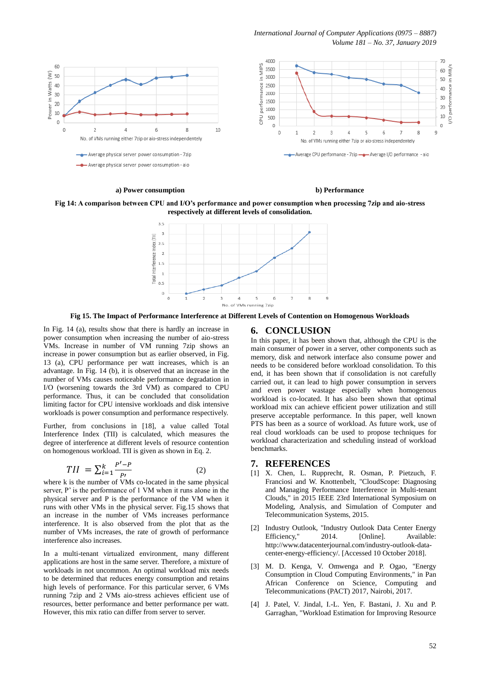*International Journal of Computer Applications (0975 – 8887) Volume 181 – No. 37, January 2019*



**a) Power consumption** b) Performance

**Fig 14: A comparison between CPU and I/O's performance and power consumption when processing 7zip and aio-stress respectively at different levels of consolidation.**



**Fig 15. The Impact of Performance Interference at Different Levels of Contention on Homogenous Workloads**

In Fig. 14 (a), results show that there is hardly an increase in power consumption when increasing the number of aio-stress VMs. Increase in number of VM running 7zip shows an increase in power consumption but as earlier observed, in Fig. 13 (a), CPU performance per watt increases, which is an advantage. In Fig. 14 (b), it is observed that an increase in the number of VMs causes noticeable performance degradation in I/O (worsening towards the 3rd VM) as compared to CPU performance. Thus, it can be concluded that consolidation limiting factor for CPU intensive workloads and disk intensive workloads is power consumption and performance respectively.

Further, from conclusions in [18], a value called Total Interference Index (TII) is calculated, which measures the degree of interference at different levels of resource contention on homogenous workload. TII is given as shown in Eq. 2.

$$
TII = \sum_{i=1}^{k} \frac{P'-P}{P'} \tag{2}
$$

where k is the number of VMs co-located in the same physical server, P' is the performance of 1 VM when it runs alone in the physical server and P is the performance of the VM when it runs with other VMs in the physical server. Fig.15 shows that an increase in the number of VMs increases performance interference. It is also observed from the plot that as the number of VMs increases, the rate of growth of performance interference also increases.

In a multi-tenant virtualized environment, many different applications are host in the same server. Therefore, a mixture of workloads in not uncommon. An optimal workload mix needs to be determined that reduces energy consumption and retains high levels of performance. For this particular server, 6 VMs running 7zip and 2 VMs aio-stress achieves efficient use of resources, better performance and better performance per watt. However, this mix ratio can differ from server to server.

#### **6. CONCLUSION**

In this paper, it has been shown that, although the CPU is the main consumer of power in a server, other components such as memory, disk and network interface also consume power and needs to be considered before workload consolidation. To this end, it has been shown that if consolidation is not carefully carried out, it can lead to high power consumption in servers and even power wastage especially when homogenous workload is co-located. It has also been shown that optimal workload mix can achieve efficient power utilization and still preserve acceptable performance. In this paper, well known PTS has been as a source of workload. As future work, use of real cloud workloads can be used to propose techniques for workload characterization and scheduling instead of workload benchmarks.

#### **7. REFERENCES**

- [1] X. Chen, L. Rupprecht, R. Osman, P. Pietzuch, F. Franciosi and W. Knottenbelt, "CloudScope: Diagnosing and Managing Performance Interference in Multi-tenant Clouds," in 2015 IEEE 23rd International Symposium on Modeling, Analysis, and Simulation of Computer and Telecommunication Systems, 2015.
- [2] Industry Outlook, "Industry Outlook Data Center Energy Efficiency," 2014. [Online]. Available: http://www.datacenterjournal.com/industry-outlook-datacenter-energy-efficiency/. [Accessed 10 October 2018].
- [3] M. D. Kenga, V. Omwenga and P. Ogao, "Energy Consumption in Cloud Computing Environments," in Pan African Conference on Science, Computing and Telecommunications (PACT) 2017, Nairobi, 2017.
- [4] J. Patel, V. Jindal, I.-L. Yen, F. Bastani, J. Xu and P. Garraghan, "Workload Estimation for Improving Resource